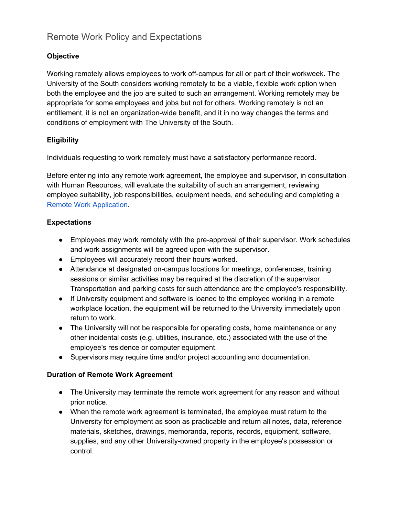# Remote Work Policy and Expectations

## **Objective**

Working remotely allows employees to work off-campus for all or part of their workweek. The University of the South considers working remotely to be a viable, flexible work option when both the employee and the job are suited to such an arrangement. Working remotely may be appropriate for some employees and jobs but not for others. Working remotely is not an entitlement, it is not an organization-wide benefit, and it in no way changes the terms and conditions of employment with The University of the South.

### **Eligibility**

Individuals requesting to work remotely must have a satisfactory performance record.

Before entering into any remote work agreement, the employee and supervisor, in consultation with Human Resources, will evaluate the suitability of such an arrangement, reviewing employee suitability, job responsibilities, equipment needs, and scheduling and completing a Remote Work [Application](http://www.sewanee.edu/media/offices/human-resources/Remote-Work-Application-Form-(pdf).pdf).

### **Expectations**

- Employees may work remotely with the pre-approval of their supervisor. Work schedules and work assignments will be agreed upon with the supervisor.
- Employees will accurately record their hours worked.
- Attendance at designated on-campus locations for meetings, conferences, training sessions or similar activities may be required at the discretion of the supervisor. Transportation and parking costs for such attendance are the employee's responsibility.
- If University equipment and software is loaned to the employee working in a remote workplace location, the equipment will be returned to the University immediately upon return to work.
- The University will not be responsible for operating costs, home maintenance or any other incidental costs (e.g. utilities, insurance, etc.) associated with the use of the employee's residence or computer equipment.
- Supervisors may require time and/or project accounting and documentation.

### **Duration of Remote Work Agreement**

- The University may terminate the remote work agreement for any reason and without prior notice.
- When the remote work agreement is terminated, the employee must return to the University for employment as soon as practicable and return all notes, data, reference materials, sketches, drawings, memoranda, reports, records, equipment, software, supplies, and any other University-owned property in the employee's possession or control.